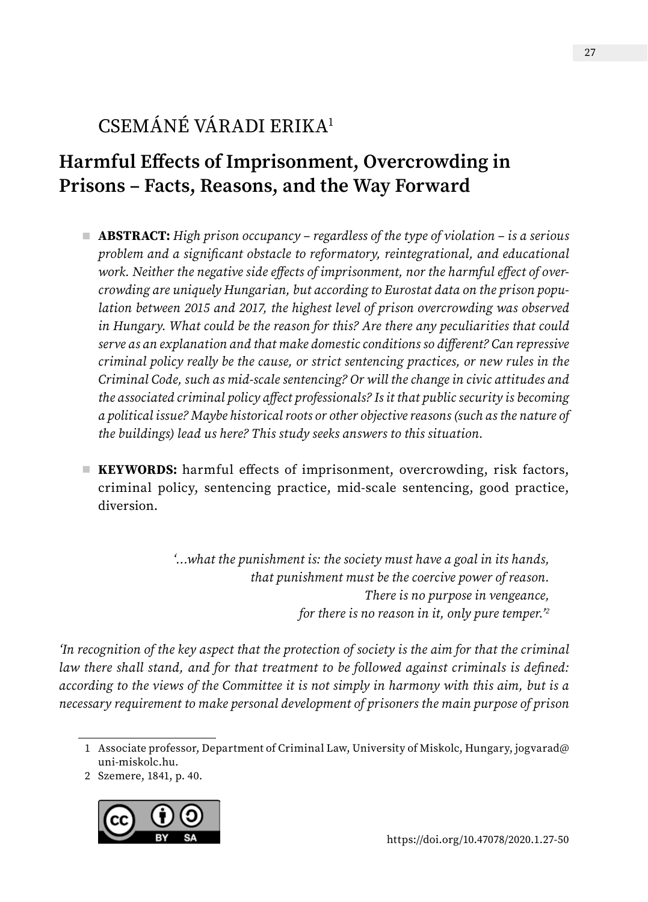# CSEMÁNÉ VÁRADI ERIKA1

# **Harmful Effects of Imprisonment, Overcrowding in Prisons – Facts, Reasons, and the Way Forward**

- **ABSTRACT:** *High prison occupancy regardless of the type of violation is a serious problem and a significant obstacle to reformatory, reintegrational, and educational work. Neither the negative side effects of imprisonment, nor the harmful effect of overcrowding are uniquely Hungarian, but according to Eurostat data on the prison population between 2015 and 2017, the highest level of prison overcrowding was observed in Hungary. What could be the reason for this? Are there any peculiarities that could serve as an explanation and that make domestic conditions so different? Can repressive criminal policy really be the cause, or strict sentencing practices, or new rules in the Criminal Code, such as mid-scale sentencing? Or will the change in civic attitudes and the associated criminal policy affect professionals? Is it that public security is becoming a political issue? Maybe historical roots or other objective reasons (such as the nature of the buildings) lead us here? This study seeks answers to this situation.*
- **KEYWORDS:** harmful effects of imprisonment, overcrowding, risk factors, criminal policy, sentencing practice, mid-scale sentencing, good practice, diversion.

*'…what the punishment is: the society must have a goal in its hands, that punishment must be the coercive power of reason. There is no purpose in vengeance, for there is no reason in it, only pure temper.'2*

*'In recognition of the key aspect that the protection of society is the aim for that the criminal law there shall stand, and for that treatment to be followed against criminals is defined: according to the views of the Committee it is not simply in harmony with this aim, but is a necessary requirement to make personal development of prisoners the main purpose of prison* 

<sup>2</sup> Szemere, 1841, p. 40.



<sup>1</sup> Associate professor, Department of Criminal Law, University of Miskolc, Hungary, [jogvarad@](mailto:jogvarad%40uni-miskolc.hu?subject=) [uni-miskolc.hu.](mailto:jogvarad%40uni-miskolc.hu?subject=)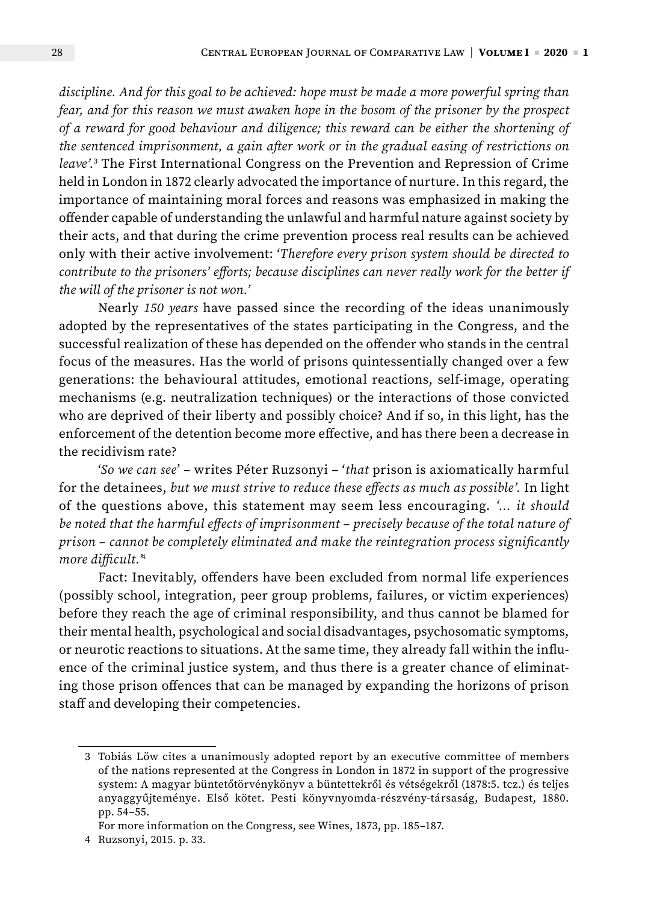*discipline. And for this goal to be achieved: hope must be made a more powerful spring than fear, and for this reason we must awaken hope in the bosom of the prisoner by the prospect of a reward for good behaviour and diligence; this reward can be either the shortening of the sentenced imprisonment, a gain after work or in the gradual easing of restrictions on leave'.*<sup>3</sup> The First International Congress on the Prevention and Repression of Crime held in London in 1872 clearly advocated the importance of nurture. In this regard, the importance of maintaining moral forces and reasons was emphasized in making the offender capable of understanding the unlawful and harmful nature against society by their acts, and that during the crime prevention process real results can be achieved only with their active involvement: '*Therefore every prison system should be directed to contribute to the prisoners' efforts; because disciplines can never really work for the better if the will of the prisoner is not won.'*

Nearly *150 years* have passed since the recording of the ideas unanimously adopted by the representatives of the states participating in the Congress, and the successful realization of these has depended on the offender who stands in the central focus of the measures. Has the world of prisons quintessentially changed over a few generations: the behavioural attitudes, emotional reactions, self-image, operating mechanisms (e.g. neutralization techniques) or the interactions of those convicted who are deprived of their liberty and possibly choice? And if so, in this light, has the enforcement of the detention become more effective, and has there been a decrease in the recidivism rate?

'*So we can see*' – writes Péter Ruzsonyi – '*that* prison is axiomatically harmful for the detainees, *but we must strive to reduce these effects as much as possible'.* In light of the questions above, this statement may seem less encouraging. *'… it should be noted that the harmful effects of imprisonment – precisely because of the total nature of prison – cannot be completely eliminated and make the reintegration process significantly more difficult.'*<sup>4</sup>

Fact: Inevitably, offenders have been excluded from normal life experiences (possibly school, integration, peer group problems, failures, or victim experiences) before they reach the age of criminal responsibility, and thus cannot be blamed for their mental health, psychological and social disadvantages, psychosomatic symptoms, or neurotic reactions to situations. At the same time, they already fall within the influence of the criminal justice system, and thus there is a greater chance of eliminating those prison offences that can be managed by expanding the horizons of prison staff and developing their competencies.

<sup>3</sup> Tobiás Löw cites a unanimously adopted report by an executive committee of members of the nations represented at the Congress in London in 1872 in support of the progressive system: A magyar büntetőtörvénykönyv a büntettekről és vétségekről (1878:5. tcz.) és teljes anyaggyűjteménye. Első kötet. Pesti könyvnyomda-részvény-társaság, Budapest, 1880. pp. 54–55.

For more information on the Congress, see Wines, 1873, pp. 185–187.

<sup>4</sup> Ruzsonyi, 2015. p. 33.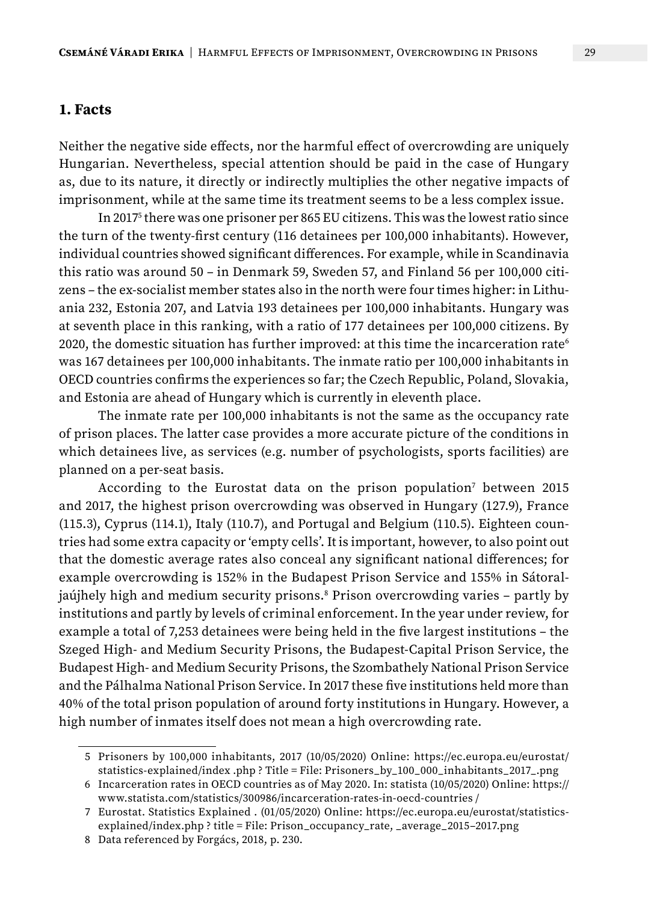#### **1. Facts**

Neither the negative side effects, nor the harmful effect of overcrowding are uniquely Hungarian. Nevertheless, special attention should be paid in the case of Hungary as, due to its nature, it directly or indirectly multiplies the other negative impacts of imprisonment, while at the same time its treatment seems to be a less complex issue.

In 20175 there was one prisoner per 865 EU citizens. This was the lowest ratio since the turn of the twenty-first century (116 detainees per 100,000 inhabitants). However, individual countries showed significant differences. For example, while in Scandinavia this ratio was around 50 – in Denmark 59, Sweden 57, and Finland 56 per 100,000 citizens – the ex-socialist member states also in the north were four times higher: in Lithuania 232, Estonia 207, and Latvia 193 detainees per 100,000 inhabitants. Hungary was at seventh place in this ranking, with a ratio of 177 detainees per 100,000 citizens. By 2020, the domestic situation has further improved: at this time the incarceration rate<sup>6</sup> was 167 detainees per 100,000 inhabitants. The inmate ratio per 100,000 inhabitants in OECD countries confirms the experiences so far; the Czech Republic, Poland, Slovakia, and Estonia are ahead of Hungary which is currently in eleventh place.

The inmate rate per 100,000 inhabitants is not the same as the occupancy rate of prison places. The latter case provides a more accurate picture of the conditions in which detainees live, as services (e.g. number of psychologists, sports facilities) are planned on a per-seat basis.

According to the Eurostat data on the prison population<sup>7</sup> between 2015 and 2017, the highest prison overcrowding was observed in Hungary (127.9), France (115.3), Cyprus (114.1), Italy (110.7), and Portugal and Belgium (110.5). Eighteen countries had some extra capacity or 'empty cells'. It is important, however, to also point out that the domestic average rates also conceal any significant national differences; for example overcrowding is 152% in the Budapest Prison Service and 155% in Sátoraljaújhely high and medium security prisons.<sup>8</sup> Prison overcrowding varies - partly by institutions and partly by levels of criminal enforcement. In the year under review, for example a total of 7,253 detainees were being held in the five largest institutions – the Szeged High- and Medium Security Prisons, the Budapest-Capital Prison Service, the Budapest High- and Medium Security Prisons, the Szombathely National Prison Service and the Pálhalma National Prison Service. In 2017 these five institutions held more than 40% of the total prison population of around forty institutions in Hungary. However, a high number of inmates itself does not mean a high overcrowding rate.

<sup>5</sup> Prisoners by 100,000 inhabitants, 2017 (10/05/2020) Online: https://ec.europa.eu/eurostat/ statistics-explained/index .php ? Title = File: Prisoners\_by\_100\_000\_inhabitants\_2017\_.png

<sup>6</sup> Incarceration rates in OECD countries as of May 2020. In: statista (10/05/2020) Online: https:// www.statista.com/statistics/300986/incarceration-rates-in-oecd-countries /

<sup>7</sup> Eurostat. Statistics Explained . (01/05/2020) Online: https://ec.europa.eu/eurostat/statisticsexplained/index.php ? title = File: Prison\_occupancy\_rate, \_average\_2015–2017.png

<sup>8</sup> Data referenced by Forgács, 2018, p. 230.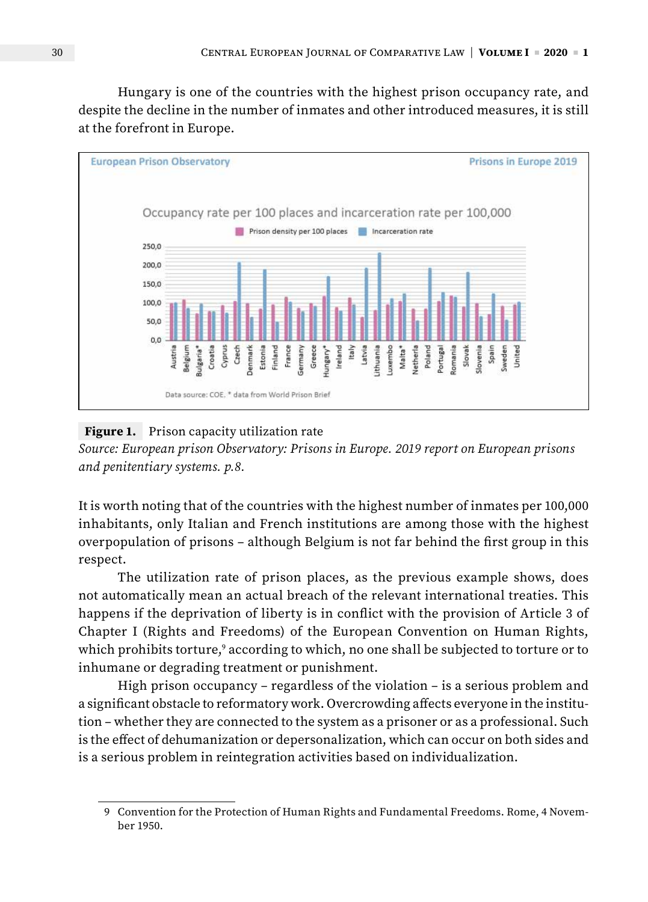Hungary is one of the countries with the highest prison occupancy rate, and despite the decline in the number of inmates and other introduced measures, it is still at the forefront in Europe.



#### **Figure 1.** Prison capacity utilization rate

*Source: European prison Observatory: Prisons in Europe. 2019 report on European prisons and penitentiary systems. p.8.*

It is worth noting that of the countries with the highest number of inmates per 100,000 inhabitants, only Italian and French institutions are among those with the highest overpopulation of prisons – although Belgium is not far behind the first group in this respect.

The utilization rate of prison places, as the previous example shows, does not automatically mean an actual breach of the relevant international treaties. This happens if the deprivation of liberty is in conflict with the provision of Article 3 of Chapter I (Rights and Freedoms) of the European Convention on Human Rights, which prohibits torture, $^{\circ}$  according to which, no one shall be subjected to torture or to inhumane or degrading treatment or punishment.

High prison occupancy – regardless of the violation – is a serious problem and a significant obstacle to reformatory work. Overcrowding affects everyone in the institution – whether they are connected to the system as a prisoner or as a professional. Such is the effect of dehumanization or depersonalization, which can occur on both sides and is a serious problem in reintegration activities based on individualization.

<sup>9</sup> Convention for the Protection of Human Rights and Fundamental Freedoms. Rome, 4 November 1950.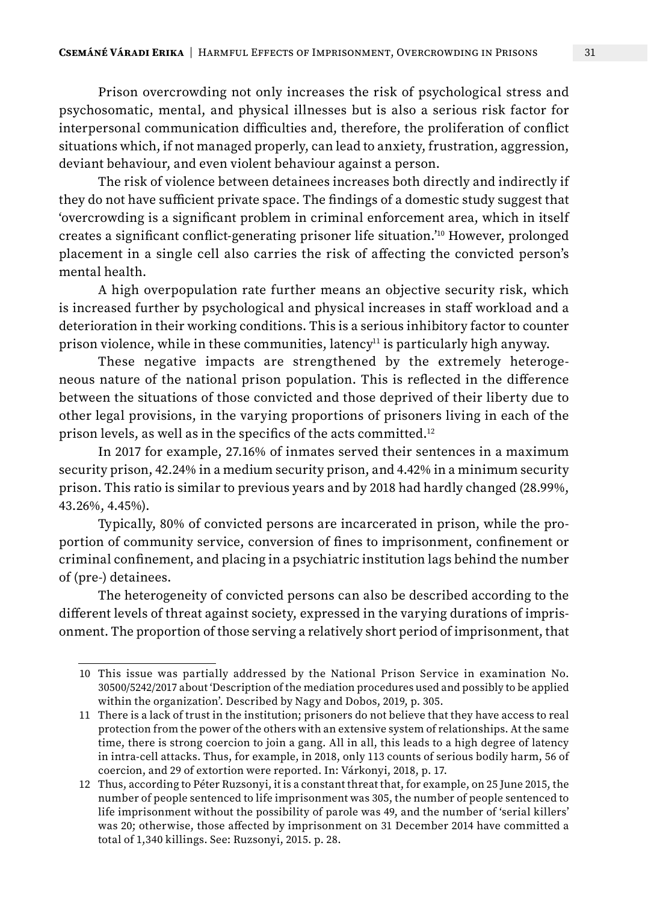Prison overcrowding not only increases the risk of psychological stress and psychosomatic, mental, and physical illnesses but is also a serious risk factor for interpersonal communication difficulties and, therefore, the proliferation of conflict situations which, if not managed properly, can lead to anxiety, frustration, aggression, deviant behaviour, and even violent behaviour against a person.

The risk of violence between detainees increases both directly and indirectly if they do not have sufficient private space. The findings of a domestic study suggest that 'overcrowding is a significant problem in criminal enforcement area, which in itself creates a significant conflict-generating prisoner life situation.'10 However, prolonged placement in a single cell also carries the risk of affecting the convicted person's mental health.

A high overpopulation rate further means an objective security risk, which is increased further by psychological and physical increases in staff workload and a deterioration in their working conditions. This is a serious inhibitory factor to counter prison violence, while in these communities, latency<sup>11</sup> is particularly high anyway.

These negative impacts are strengthened by the extremely heterogeneous nature of the national prison population. This is reflected in the difference between the situations of those convicted and those deprived of their liberty due to other legal provisions, in the varying proportions of prisoners living in each of the prison levels, as well as in the specifics of the acts committed.12

In 2017 for example, 27.16% of inmates served their sentences in a maximum security prison, 42.24% in a medium security prison, and 4.42% in a minimum security prison. This ratio is similar to previous years and by 2018 had hardly changed (28.99%, 43.26%, 4.45%).

Typically, 80% of convicted persons are incarcerated in prison, while the proportion of community service, conversion of fines to imprisonment, confinement or criminal confinement, and placing in a psychiatric institution lags behind the number of (pre-) detainees.

The heterogeneity of convicted persons can also be described according to the different levels of threat against society, expressed in the varying durations of imprisonment. The proportion of those serving a relatively short period of imprisonment, that

<sup>10</sup> This issue was partially addressed by the National Prison Service in examination No. 30500/5242/2017 about 'Description of the mediation procedures used and possibly to be applied within the organization'. Described by Nagy and Dobos, 2019, p. 305.

<sup>11</sup> There is a lack of trust in the institution; prisoners do not believe that they have access to real protection from the power of the others with an extensive system of relationships. At the same time, there is strong coercion to join a gang. All in all, this leads to a high degree of latency in intra-cell attacks. Thus, for example, in 2018, only 113 counts of serious bodily harm, 56 of coercion, and 29 of extortion were reported. In: Várkonyi, 2018, p. 17.

<sup>12</sup> Thus, according to Péter Ruzsonyi, it is a constant threat that, for example, on 25 June 2015, the number of people sentenced to life imprisonment was 305, the number of people sentenced to life imprisonment without the possibility of parole was 49, and the number of 'serial killers' was 20; otherwise, those affected by imprisonment on 31 December 2014 have committed a total of 1,340 killings. See: Ruzsonyi, 2015. p. 28.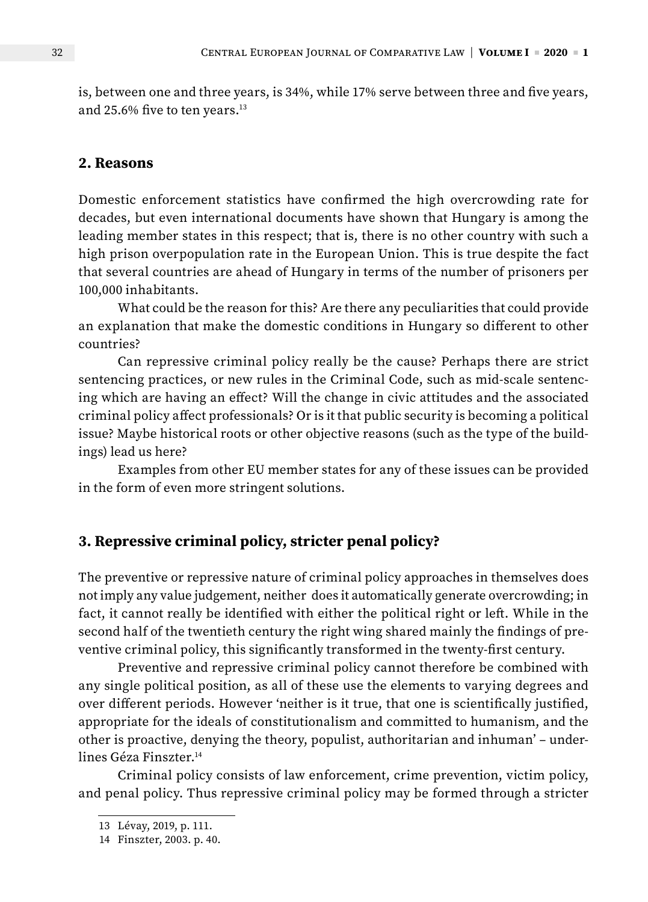is, between one and three years, is 34%, while 17% serve between three and five years, and 25.6% five to ten years.<sup>13</sup>

#### **2. Reasons**

Domestic enforcement statistics have confirmed the high overcrowding rate for decades, but even international documents have shown that Hungary is among the leading member states in this respect; that is, there is no other country with such a high prison overpopulation rate in the European Union. This is true despite the fact that several countries are ahead of Hungary in terms of the number of prisoners per 100,000 inhabitants.

What could be the reason for this? Are there any peculiarities that could provide an explanation that make the domestic conditions in Hungary so different to other countries?

Can repressive criminal policy really be the cause? Perhaps there are strict sentencing practices, or new rules in the Criminal Code, such as mid-scale sentencing which are having an effect? Will the change in civic attitudes and the associated criminal policy affect professionals? Or is it that public security is becoming a political issue? Maybe historical roots or other objective reasons (such as the type of the buildings) lead us here?

Examples from other EU member states for any of these issues can be provided in the form of even more stringent solutions.

### **3. Repressive criminal policy, stricter penal policy?**

The preventive or repressive nature of criminal policy approaches in themselves does not imply any value judgement, neither does it automatically generate overcrowding; in fact, it cannot really be identified with either the political right or left. While in the second half of the twentieth century the right wing shared mainly the findings of preventive criminal policy, this significantly transformed in the twenty-first century.

Preventive and repressive criminal policy cannot therefore be combined with any single political position, as all of these use the elements to varying degrees and over different periods. However 'neither is it true, that one is scientifically justified, appropriate for the ideals of constitutionalism and committed to humanism, and the other is proactive, denying the theory, populist, authoritarian and inhuman' – underlines Géza Finszter.<sup>14</sup>

Criminal policy consists of law enforcement, crime prevention, victim policy, and penal policy. Thus repressive criminal policy may be formed through a stricter

<sup>13</sup> Lévay, 2019, p. 111.

<sup>14</sup> Finszter, 2003. p. 40.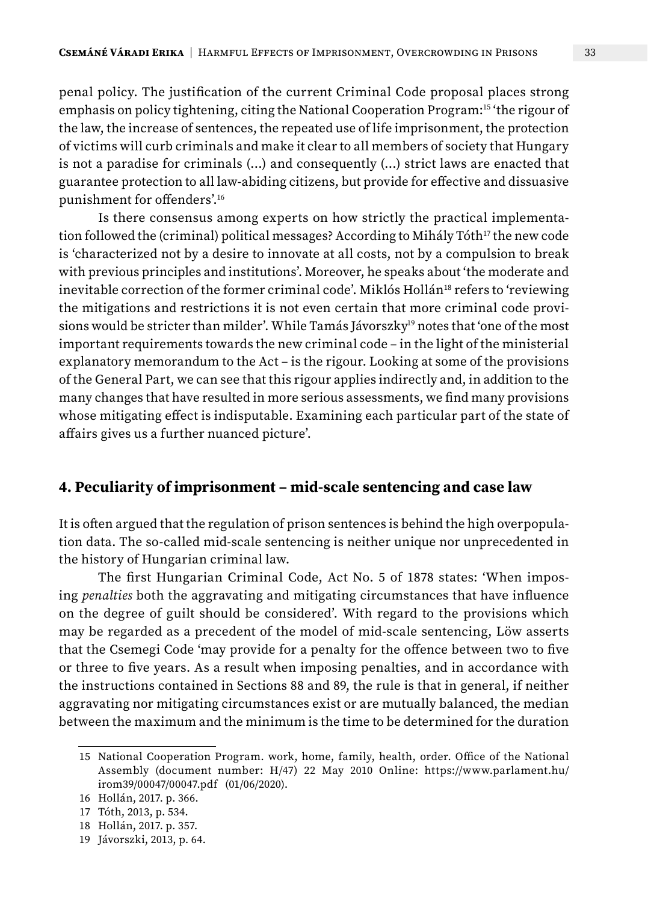penal policy. The justification of the current Criminal Code proposal places strong emphasis on policy tightening, citing the National Cooperation Program:15 'the rigour of the law, the increase of sentences, the repeated use of life imprisonment, the protection of victims will curb criminals and make it clear to all members of society that Hungary is not a paradise for criminals (…) and consequently (…) strict laws are enacted that guarantee protection to all law-abiding citizens, but provide for effective and dissuasive punishment for offenders'.16

Is there consensus among experts on how strictly the practical implementation followed the (criminal) political messages? According to Mihály Tóth<sup>17</sup> the new code is 'characterized not by a desire to innovate at all costs, not by a compulsion to break with previous principles and institutions'. Moreover, he speaks about 'the moderate and inevitable correction of the former criminal code'. Miklós Hollán<sup>18</sup> refers to 'reviewing the mitigations and restrictions it is not even certain that more criminal code provisions would be stricter than milder'. While Tamás Jávorszky<sup>19</sup> notes that 'one of the most important requirements towards the new criminal code – in the light of the ministerial explanatory memorandum to the Act – is the rigour. Looking at some of the provisions of the General Part, we can see that this rigour applies indirectly and, in addition to the many changes that have resulted in more serious assessments, we find many provisions whose mitigating effect is indisputable. Examining each particular part of the state of affairs gives us a further nuanced picture'.

#### **4. Peculiarity of imprisonment – mid-scale sentencing and case law**

It is often argued that the regulation of prison sentences is behind the high overpopulation data. The so-called mid-scale sentencing is neither unique nor unprecedented in the history of Hungarian criminal law.

The first Hungarian Criminal Code, Act No. 5 of 1878 states: 'When imposing *penalties* both the aggravating and mitigating circumstances that have influence on the degree of guilt should be considered'. With regard to the provisions which may be regarded as a precedent of the model of mid-scale sentencing, Löw asserts that the Csemegi Code 'may provide for a penalty for the offence between two to five or three to five years. As a result when imposing penalties, and in accordance with the instructions contained in Sections 88 and 89, the rule is that in general, if neither aggravating nor mitigating circumstances exist or are mutually balanced, the median between the maximum and the minimum is the time to be determined for the duration

<sup>15</sup> National Cooperation Program. work, home, family, health, order. Office of the National Assembly (document number: H/47) 22 May 2010 Online: https://www.parlament.hu/ irom39/00047/00047.pdf (01/06/2020).

<sup>16</sup> Hollán, 2017. p. 366.

<sup>17</sup> Tóth, 2013, p. 534.

<sup>18</sup> Hollán, 2017. p. 357.

<sup>19</sup> Jávorszki, 2013, p. 64.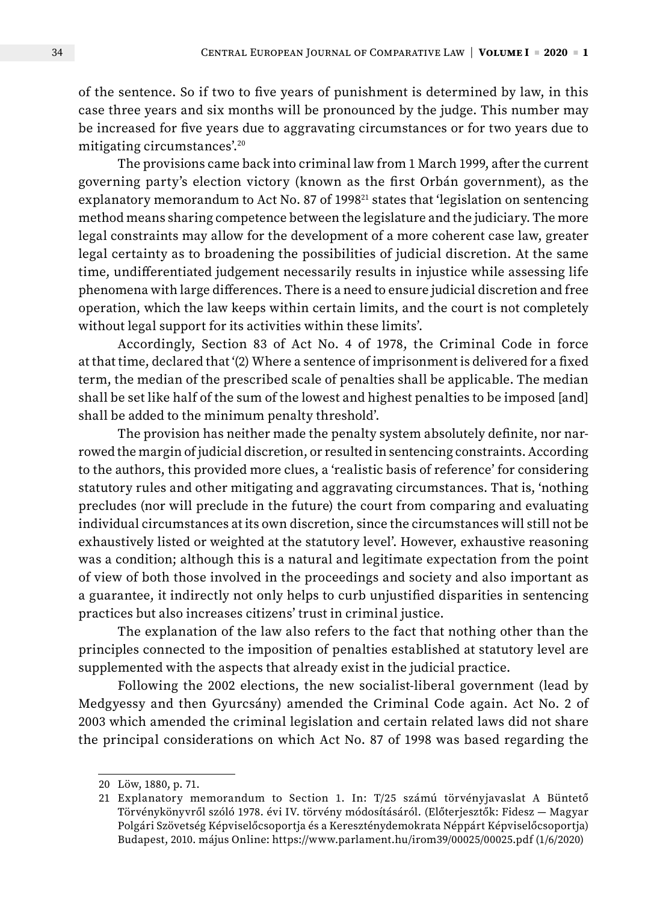of the sentence. So if two to five years of punishment is determined by law, in this case three years and six months will be pronounced by the judge. This number may be increased for five years due to aggravating circumstances or for two years due to mitigating circumstances'.20

The provisions came back into criminal law from 1 March 1999, after the current governing party's election victory (known as the first Orbán government), as the explanatory memorandum to Act No. 87 of 1998<sup>21</sup> states that 'legislation on sentencing method means sharing competence between the legislature and the judiciary. The more legal constraints may allow for the development of a more coherent case law, greater legal certainty as to broadening the possibilities of judicial discretion. At the same time, undifferentiated judgement necessarily results in injustice while assessing life phenomena with large differences. There is a need to ensure judicial discretion and free operation, which the law keeps within certain limits, and the court is not completely without legal support for its activities within these limits'.

Accordingly, Section 83 of Act No. 4 of 1978, the Criminal Code in force at that time, declared that '(2) Where a sentence of imprisonment is delivered for a fixed term, the median of the prescribed scale of penalties shall be applicable. The median shall be set like half of the sum of the lowest and highest penalties to be imposed [and] shall be added to the minimum penalty threshold'.

The provision has neither made the penalty system absolutely definite, nor narrowed the margin of judicial discretion, or resulted in sentencing constraints. According to the authors, this provided more clues, a 'realistic basis of reference' for considering statutory rules and other mitigating and aggravating circumstances. That is, 'nothing precludes (nor will preclude in the future) the court from comparing and evaluating individual circumstances at its own discretion, since the circumstances will still not be exhaustively listed or weighted at the statutory level'. However, exhaustive reasoning was a condition; although this is a natural and legitimate expectation from the point of view of both those involved in the proceedings and society and also important as a guarantee, it indirectly not only helps to curb unjustified disparities in sentencing practices but also increases citizens' trust in criminal justice.

The explanation of the law also refers to the fact that nothing other than the principles connected to the imposition of penalties established at statutory level are supplemented with the aspects that already exist in the judicial practice.

Following the 2002 elections, the new socialist-liberal government (lead by Medgyessy and then Gyurcsány) amended the Criminal Code again. Act No. 2 of 2003 which amended the criminal legislation and certain related laws did not share the principal considerations on which Act No. 87 of 1998 was based regarding the

<sup>20</sup> Löw, 1880, p. 71.

<sup>21</sup> Explanatory memorandum to Section 1. In: T/25 számú törvényjavaslat A Büntető Törvénykönyvről szóló 1978. évi IV. törvény módosításáról. (Előterjesztők: Fidesz — Magyar Polgári Szövetség Képviselőcsoportja és a Kereszténydemokrata Néppárt Képviselőcsoportja) Budapest, 2010. május Online: https://www.parlament.hu/irom39/00025/00025.pdf (1/6/2020)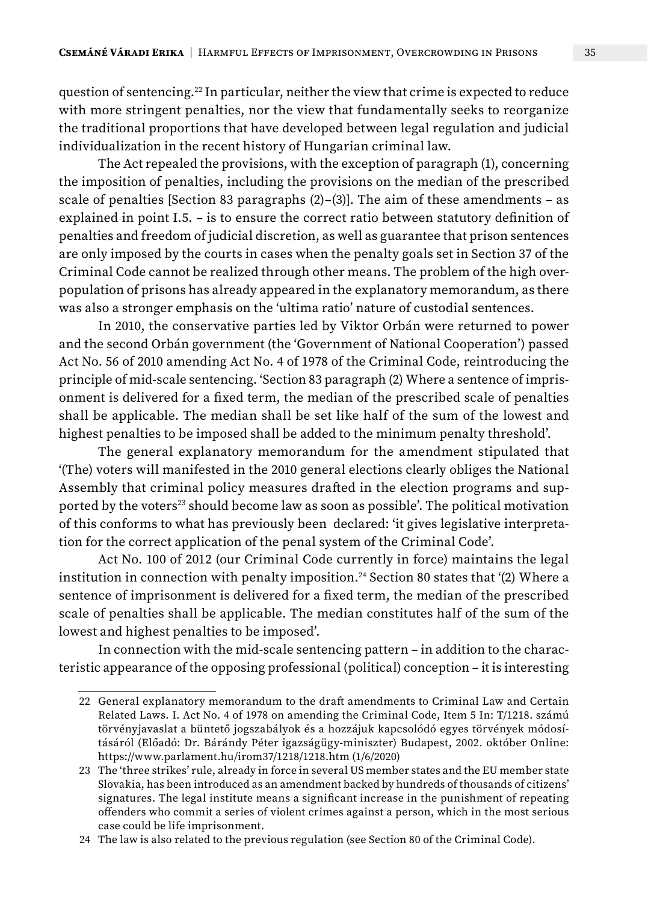question of sentencing.<sup>22</sup> In particular, neither the view that crime is expected to reduce with more stringent penalties, nor the view that fundamentally seeks to reorganize the traditional proportions that have developed between legal regulation and judicial individualization in the recent history of Hungarian criminal law.

The Act repealed the provisions, with the exception of paragraph (1), concerning the imposition of penalties, including the provisions on the median of the prescribed scale of penalties [Section 83 paragraphs  $(2)-(3)$ ]. The aim of these amendments – as explained in point I.5. – is to ensure the correct ratio between statutory definition of penalties and freedom of judicial discretion, as well as guarantee that prison sentences are only imposed by the courts in cases when the penalty goals set in Section 37 of the Criminal Code cannot be realized through other means. The problem of the high overpopulation of prisons has already appeared in the explanatory memorandum, as there was also a stronger emphasis on the 'ultima ratio' nature of custodial sentences.

In 2010, the conservative parties led by Viktor Orbán were returned to power and the second Orbán government (the 'Government of National Cooperation') passed Act No. 56 of 2010 amending Act No. 4 of 1978 of the Criminal Code, reintroducing the principle of mid-scale sentencing. 'Section 83 paragraph (2) Where a sentence of imprisonment is delivered for a fixed term, the median of the prescribed scale of penalties shall be applicable. The median shall be set like half of the sum of the lowest and highest penalties to be imposed shall be added to the minimum penalty threshold'.

The general explanatory memorandum for the amendment stipulated that '(The) voters will manifested in the 2010 general elections clearly obliges the National Assembly that criminal policy measures drafted in the election programs and supported by the voters<sup>23</sup> should become law as soon as possible'. The political motivation of this conforms to what has previously been declared: 'it gives legislative interpretation for the correct application of the penal system of the Criminal Code'.

Act No. 100 of 2012 (our Criminal Code currently in force) maintains the legal institution in connection with penalty imposition.<sup>24</sup> Section 80 states that  $(2)$  Where a sentence of imprisonment is delivered for a fixed term, the median of the prescribed scale of penalties shall be applicable. The median constitutes half of the sum of the lowest and highest penalties to be imposed'.

In connection with the mid-scale sentencing pattern – in addition to the characteristic appearance of the opposing professional (political) conception – it is interesting

<sup>22</sup> General explanatory memorandum to the draft amendments to Criminal Law and Certain Related Laws. I. Act No. 4 of 1978 on amending the Criminal Code, Item 5 In: T/1218. számú törvényjavaslat a büntető jogszabályok és a hozzájuk kapcsolódó egyes törvények módosításáról (Előadó: Dr. Bárándy Péter igazságügy-miniszter) Budapest, 2002. október Online: https://www.parlament.hu/irom37/1218/1218.htm (1/6/2020)

<sup>23</sup> The 'three strikes' rule, already in force in several US member states and the EU member state Slovakia, has been introduced as an amendment backed by hundreds of thousands of citizens' signatures. The legal institute means a significant increase in the punishment of repeating offenders who commit a series of violent crimes against a person, which in the most serious case could be life imprisonment.

<sup>24</sup> The law is also related to the previous regulation (see Section 80 of the Criminal Code).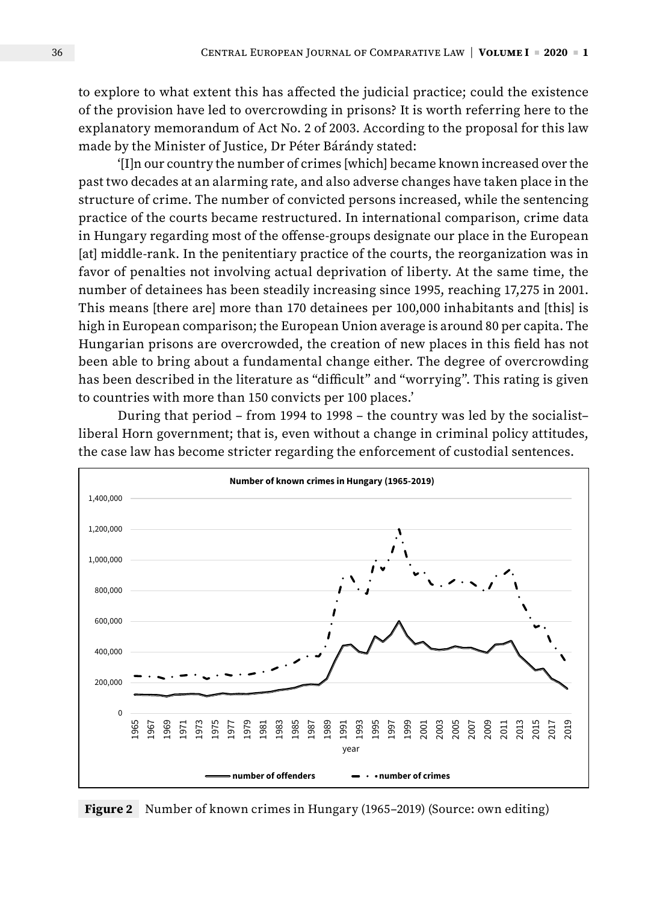to explore to what extent this has affected the judicial practice; could the existence of the provision have led to overcrowding in prisons? It is worth referring here to the explanatory memorandum of Act No. 2 of 2003. According to the proposal for this law made by the Minister of Justice, Dr Péter Bárándy stated:

'[I]n our country the number of crimes [which] became known increased over the past two decades at an alarming rate, and also adverse changes have taken place in the structure of crime. The number of convicted persons increased, while the sentencing practice of the courts became restructured. In international comparison, crime data in Hungary regarding most of the offense-groups designate our place in the European [at] middle-rank. In the penitentiary practice of the courts, the reorganization was in favor of penalties not involving actual deprivation of liberty. At the same time, the number of detainees has been steadily increasing since 1995, reaching 17,275 in 2001. This means [there are] more than 170 detainees per 100,000 inhabitants and [this] is high in European comparison; the European Union average is around 80 per capita. The Hungarian prisons are overcrowded, the creation of new places in this field has not been able to bring about a fundamental change either. The degree of overcrowding has been described in the literature as "difficult" and "worrying". This rating is given to countries with more than 150 convicts per 100 places.'

During that period – from 1994 to 1998 – the country was led by the socialist– liberal Horn government; that is, even without a change in criminal policy attitudes, the case law has become stricter regarding the enforcement of custodial sentences.



**Figure 2** Number of known crimes in Hungary (1965–2019) (Source: own editing)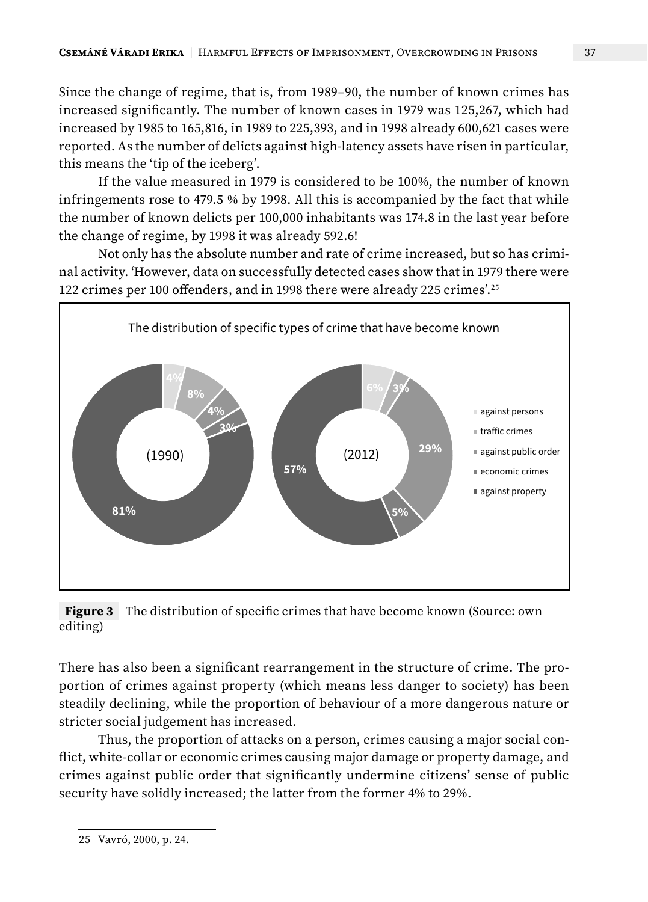Since the change of regime, that is, from 1989–90, the number of known crimes has increased significantly. The number of known cases in 1979 was 125,267, which had increased by 1985 to 165,816, in 1989 to 225,393, and in 1998 already 600,621 cases were reported. As the number of delicts against high-latency assets have risen in particular, this means the 'tip of the iceberg'.

If the value measured in 1979 is considered to be 100%, the number of known infringements rose to 479.5 % by 1998. All this is accompanied by the fact that while the number of known delicts per 100,000 inhabitants was 174.8 in the last year before the change of regime, by 1998 it was already 592.6!

Not only has the absolute number and rate of crime increased, but so has criminal activity. 'However, data on successfully detected cases show that in 1979 there were 122 crimes per 100 offenders, and in 1998 there were already 225 crimes'.25



**Figure 3** The distribution of specific crimes that have become known (Source: own editing)

There has also been a significant rearrangement in the structure of crime. The proportion of crimes against property (which means less danger to society) has been steadily declining, while the proportion of behaviour of a more dangerous nature or stricter social judgement has increased.

Thus, the proportion of attacks on a person, crimes causing a major social conflict, white-collar or economic crimes causing major damage or property damage, and crimes against public order that significantly undermine citizens' sense of public security have solidly increased; the latter from the former 4% to 29%.

<sup>25</sup> Vavró, 2000, p. 24.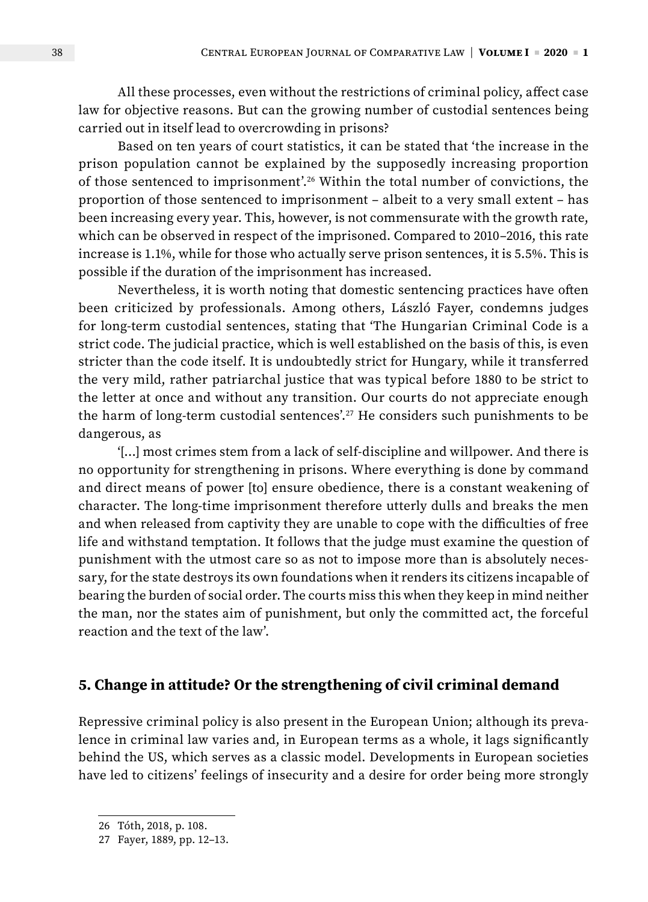All these processes, even without the restrictions of criminal policy, affect case law for objective reasons. But can the growing number of custodial sentences being carried out in itself lead to overcrowding in prisons?

Based on ten years of court statistics, it can be stated that 'the increase in the prison population cannot be explained by the supposedly increasing proportion of those sentenced to imprisonment'.26 Within the total number of convictions, the proportion of those sentenced to imprisonment – albeit to a very small extent – has been increasing every year. This, however, is not commensurate with the growth rate, which can be observed in respect of the imprisoned. Compared to 2010–2016, this rate increase is 1.1%, while for those who actually serve prison sentences, it is 5.5%. This is possible if the duration of the imprisonment has increased.

Nevertheless, it is worth noting that domestic sentencing practices have often been criticized by professionals. Among others, László Fayer, condemns judges for long-term custodial sentences, stating that 'The Hungarian Criminal Code is a strict code. The judicial practice, which is well established on the basis of this, is even stricter than the code itself. It is undoubtedly strict for Hungary, while it transferred the very mild, rather patriarchal justice that was typical before 1880 to be strict to the letter at once and without any transition. Our courts do not appreciate enough the harm of long-term custodial sentences'.27 He considers such punishments to be dangerous, as

'[…] most crimes stem from a lack of self-discipline and willpower. And there is no opportunity for strengthening in prisons. Where everything is done by command and direct means of power [to] ensure obedience, there is a constant weakening of character. The long-time imprisonment therefore utterly dulls and breaks the men and when released from captivity they are unable to cope with the difficulties of free life and withstand temptation. It follows that the judge must examine the question of punishment with the utmost care so as not to impose more than is absolutely necessary, for the state destroys its own foundations when it renders its citizens incapable of bearing the burden of social order. The courts miss this when they keep in mind neither the man, nor the states aim of punishment, but only the committed act, the forceful reaction and the text of the law'.

#### **5. Change in attitude? Or the strengthening of civil criminal demand**

Repressive criminal policy is also present in the European Union; although its prevalence in criminal law varies and, in European terms as a whole, it lags significantly behind the US, which serves as a classic model. Developments in European societies have led to citizens' feelings of insecurity and a desire for order being more strongly

<sup>26</sup> Tóth, 2018, p. 108.

<sup>27</sup> Fayer, 1889, pp. 12–13.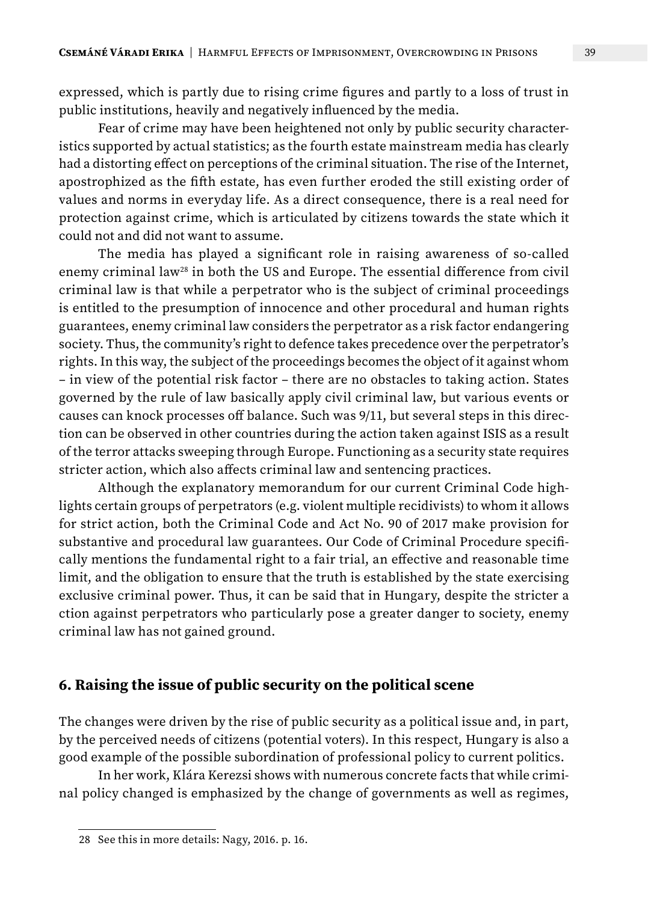expressed, which is partly due to rising crime figures and partly to a loss of trust in public institutions, heavily and negatively influenced by the media.

Fear of crime may have been heightened not only by public security characteristics supported by actual statistics; as the fourth estate mainstream media has clearly had a distorting effect on perceptions of the criminal situation. The rise of the Internet, apostrophized as the fifth estate, has even further eroded the still existing order of values and norms in everyday life. As a direct consequence, there is a real need for protection against crime, which is articulated by citizens towards the state which it could not and did not want to assume.

The media has played a significant role in raising awareness of so-called enemy criminal law<sup>28</sup> in both the US and Europe. The essential difference from civil criminal law is that while a perpetrator who is the subject of criminal proceedings is entitled to the presumption of innocence and other procedural and human rights guarantees, enemy criminal law considers the perpetrator as a risk factor endangering society. Thus, the community's right to defence takes precedence over the perpetrator's rights. In this way, the subject of the proceedings becomes the object of it against whom – in view of the potential risk factor – there are no obstacles to taking action. States governed by the rule of law basically apply civil criminal law, but various events or causes can knock processes off balance. Such was 9/11, but several steps in this direction can be observed in other countries during the action taken against ISIS as a result of the terror attacks sweeping through Europe. Functioning as a security state requires stricter action, which also affects criminal law and sentencing practices.

Although the explanatory memorandum for our current Criminal Code highlights certain groups of perpetrators (e.g. violent multiple recidivists) to whom it allows for strict action, both the Criminal Code and Act No. 90 of 2017 make provision for substantive and procedural law guarantees. Our Code of Criminal Procedure specifically mentions the fundamental right to a fair trial, an effective and reasonable time limit, and the obligation to ensure that the truth is established by the state exercising exclusive criminal power. Thus, it can be said that in Hungary, despite the stricter a ction against perpetrators who particularly pose a greater danger to society, enemy criminal law has not gained ground.

#### **6. Raising the issue of public security on the political scene**

The changes were driven by the rise of public security as a political issue and, in part, by the perceived needs of citizens (potential voters). In this respect, Hungary is also a good example of the possible subordination of professional policy to current politics.

In her work, Klára Kerezsi shows with numerous concrete facts that while criminal policy changed is emphasized by the change of governments as well as regimes,

<sup>28</sup> See this in more details: Nagy, 2016. p. 16.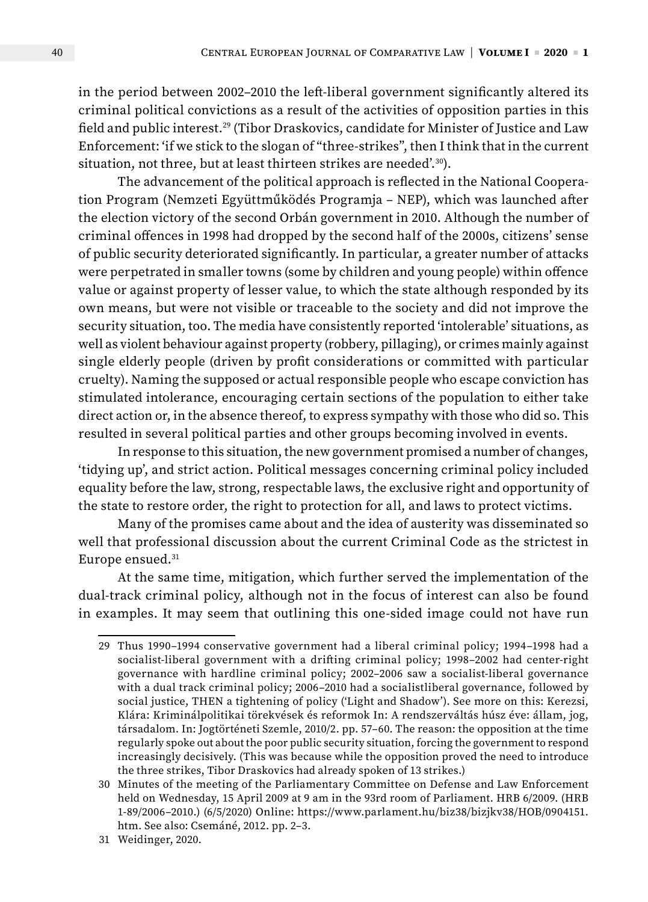in the period between 2002–2010 the left-liberal government significantly altered its criminal political convictions as a result of the activities of opposition parties in this field and public interest.29 (Tibor Draskovics, candidate for Minister of Justice and Law Enforcement: 'if we stick to the slogan of "three-strikes", then I think that in the current situation, not three, but at least thirteen strikes are needed',<sup>30</sup>).

The advancement of the political approach is reflected in the National Cooperation Program (Nemzeti Együttműködés Programja – NEP), which was launched after the election victory of the second Orbán government in 2010. Although the number of criminal offences in 1998 had dropped by the second half of the 2000s, citizens' sense of public security deteriorated significantly. In particular, a greater number of attacks were perpetrated in smaller towns (some by children and young people) within offence value or against property of lesser value, to which the state although responded by its own means, but were not visible or traceable to the society and did not improve the security situation, too. The media have consistently reported 'intolerable' situations, as well as violent behaviour against property (robbery, pillaging), or crimes mainly against single elderly people (driven by profit considerations or committed with particular cruelty). Naming the supposed or actual responsible people who escape conviction has stimulated intolerance, encouraging certain sections of the population to either take direct action or, in the absence thereof, to express sympathy with those who did so. This resulted in several political parties and other groups becoming involved in events.

In response to this situation, the new government promised a number of changes, 'tidying up', and strict action. Political messages concerning criminal policy included equality before the law, strong, respectable laws, the exclusive right and opportunity of the state to restore order, the right to protection for all, and laws to protect victims.

Many of the promises came about and the idea of austerity was disseminated so well that professional discussion about the current Criminal Code as the strictest in Europe ensued.<sup>31</sup>

At the same time, mitigation, which further served the implementation of the dual-track criminal policy, although not in the focus of interest can also be found in examples. It may seem that outlining this one-sided image could not have run

<sup>29</sup> Thus 1990–1994 conservative government had a liberal criminal policy; 1994–1998 had a socialist-liberal government with a drifting criminal policy; 1998–2002 had center-right governance with hardline criminal policy; 2002–2006 saw a socialist-liberal governance with a dual track criminal policy; 2006–2010 had a socialistliberal governance, followed by social justice, THEN a tightening of policy ('Light and Shadow'). See more on this: Kerezsi, Klára: Kriminálpolitikai törekvések és reformok In: A rendszerváltás húsz éve: állam, jog, társadalom. In: Jogtörténeti Szemle, 2010/2. pp. 57–60. The reason: the opposition at the time regularly spoke out about the poor public security situation, forcing the government to respond increasingly decisively. (This was because while the opposition proved the need to introduce the three strikes, Tibor Draskovics had already spoken of 13 strikes.)

<sup>30</sup> Minutes of the meeting of the Parliamentary Committee on Defense and Law Enforcement held on Wednesday, 15 April 2009 at 9 am in the 93rd room of Parliament. HRB 6/2009. (HRB 1-89/2006–2010.) (6/5/2020) Online: https://www.parlament.hu/biz38/bizjkv38/HOB/0904151. htm. See also: Csemáné, 2012. pp. 2–3.

<sup>31</sup> Weidinger, 2020.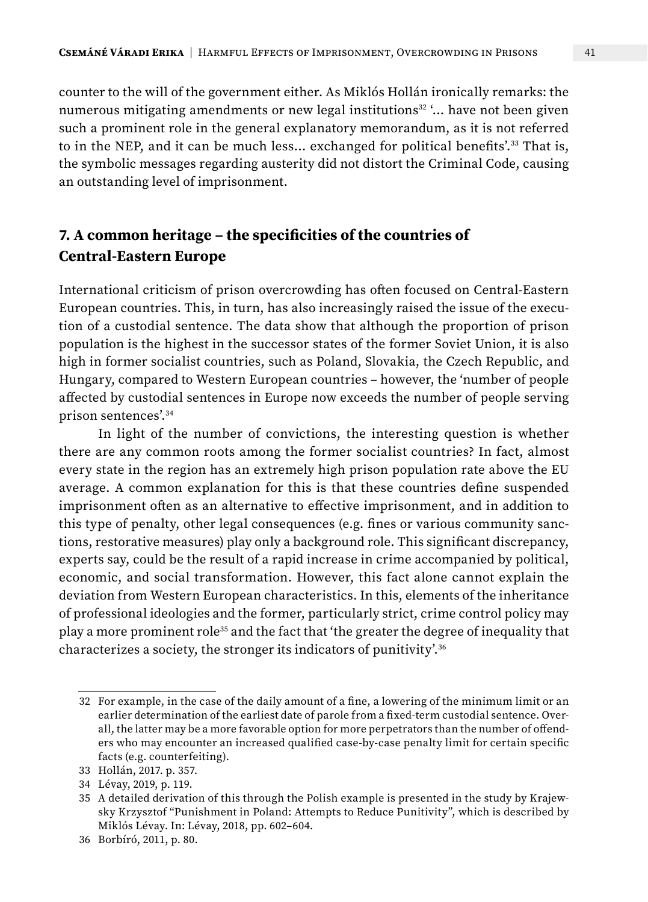counter to the will of the government either. As Miklós Hollán ironically remarks: the numerous mitigating amendments or new legal institutions<sup>32</sup>  $\ldots$  have not been given such a prominent role in the general explanatory memorandum, as it is not referred to in the NEP, and it can be much less… exchanged for political benefits'.33 That is, the symbolic messages regarding austerity did not distort the Criminal Code, causing an outstanding level of imprisonment.

## **7. A common heritage – the specificities of the countries of Central-Eastern Europe**

International criticism of prison overcrowding has often focused on Central-Eastern European countries. This, in turn, has also increasingly raised the issue of the execution of a custodial sentence. The data show that although the proportion of prison population is the highest in the successor states of the former Soviet Union, it is also high in former socialist countries, such as Poland, Slovakia, the Czech Republic, and Hungary, compared to Western European countries – however, the 'number of people affected by custodial sentences in Europe now exceeds the number of people serving prison sentences'.34

In light of the number of convictions, the interesting question is whether there are any common roots among the former socialist countries? In fact, almost every state in the region has an extremely high prison population rate above the EU average. A common explanation for this is that these countries define suspended imprisonment often as an alternative to effective imprisonment, and in addition to this type of penalty, other legal consequences (e.g. fines or various community sanctions, restorative measures) play only a background role. This significant discrepancy, experts say, could be the result of a rapid increase in crime accompanied by political, economic, and social transformation. However, this fact alone cannot explain the deviation from Western European characteristics. In this, elements of the inheritance of professional ideologies and the former, particularly strict, crime control policy may play a more prominent role<sup>35</sup> and the fact that 'the greater the degree of inequality that characterizes a society, the stronger its indicators of punitivity'.36

<sup>32</sup> For example, in the case of the daily amount of a fine, a lowering of the minimum limit or an earlier determination of the earliest date of parole from a fixed-term custodial sentence. Overall, the latter may be a more favorable option for more perpetrators than the number of offenders who may encounter an increased qualified case-by-case penalty limit for certain specific facts (e.g. counterfeiting).

<sup>33</sup> Hollán, 2017. p. 357.

<sup>34</sup> Lévay, 2019, p. 119.

<sup>35</sup> A detailed derivation of this through the Polish example is presented in the study by Krajewsky Krzysztof "Punishment in Poland: Attempts to Reduce Punitivity", which is described by Miklós Lévay. In: Lévay, 2018, pp. 602–604.

<sup>36</sup> Borbíró, 2011, p. 80.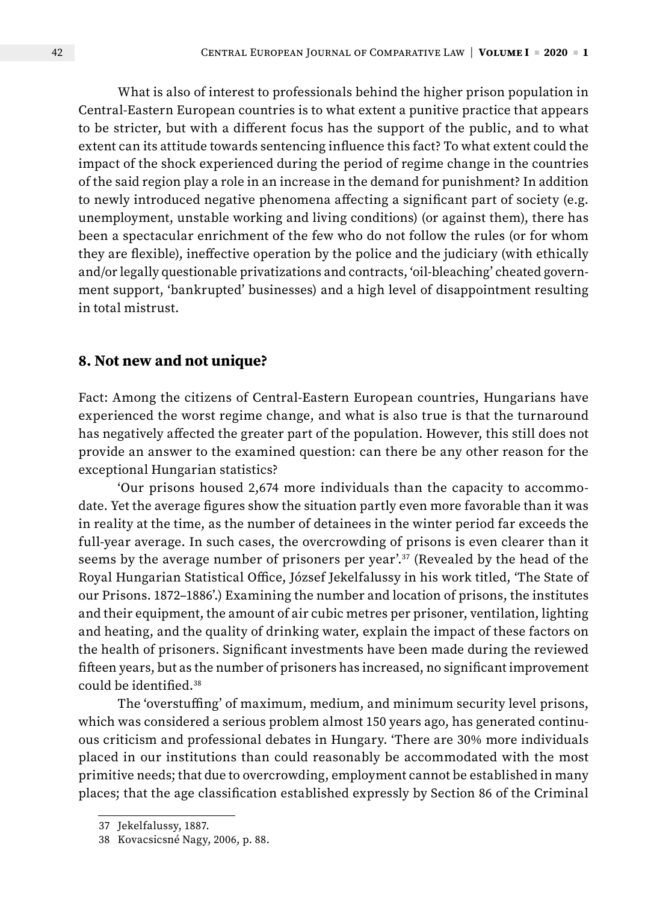What is also of interest to professionals behind the higher prison population in Central-Eastern European countries is to what extent a punitive practice that appears to be stricter, but with a different focus has the support of the public, and to what extent can its attitude towards sentencing influence this fact? To what extent could the impact of the shock experienced during the period of regime change in the countries of the said region play a role in an increase in the demand for punishment? In addition to newly introduced negative phenomena affecting a significant part of society (e.g. unemployment, unstable working and living conditions) (or against them), there has been a spectacular enrichment of the few who do not follow the rules (or for whom they are flexible), ineffective operation by the police and the judiciary (with ethically and/or legally questionable privatizations and contracts, 'oil-bleaching' cheated government support, 'bankrupted' businesses) and a high level of disappointment resulting in total mistrust.

#### **8. Not new and not unique?**

Fact: Among the citizens of Central-Eastern European countries, Hungarians have experienced the worst regime change, and what is also true is that the turnaround has negatively affected the greater part of the population. However, this still does not provide an answer to the examined question: can there be any other reason for the exceptional Hungarian statistics?

'Our prisons housed 2,674 more individuals than the capacity to accommodate. Yet the average figures show the situation partly even more favorable than it was in reality at the time, as the number of detainees in the winter period far exceeds the full-year average. In such cases, the overcrowding of prisons is even clearer than it seems by the average number of prisoners per year'.37 (Revealed by the head of the Royal Hungarian Statistical Office, József Jekelfalussy in his work titled, 'The State of our Prisons. 1872–1886'.) Examining the number and location of prisons, the institutes and their equipment, the amount of air cubic metres per prisoner, ventilation, lighting and heating, and the quality of drinking water, explain the impact of these factors on the health of prisoners. Significant investments have been made during the reviewed fifteen years, but as the number of prisoners has increased, no significant improvement could be identified.38

The 'overstuffing' of maximum, medium, and minimum security level prisons, which was considered a serious problem almost 150 years ago, has generated continuous criticism and professional debates in Hungary. 'There are 30% more individuals placed in our institutions than could reasonably be accommodated with the most primitive needs; that due to overcrowding, employment cannot be established in many places; that the age classification established expressly by Section 86 of the Criminal

<sup>37</sup> Jekelfalussy, 1887.

<sup>38</sup> Kovacsicsné Nagy, 2006, p. 88.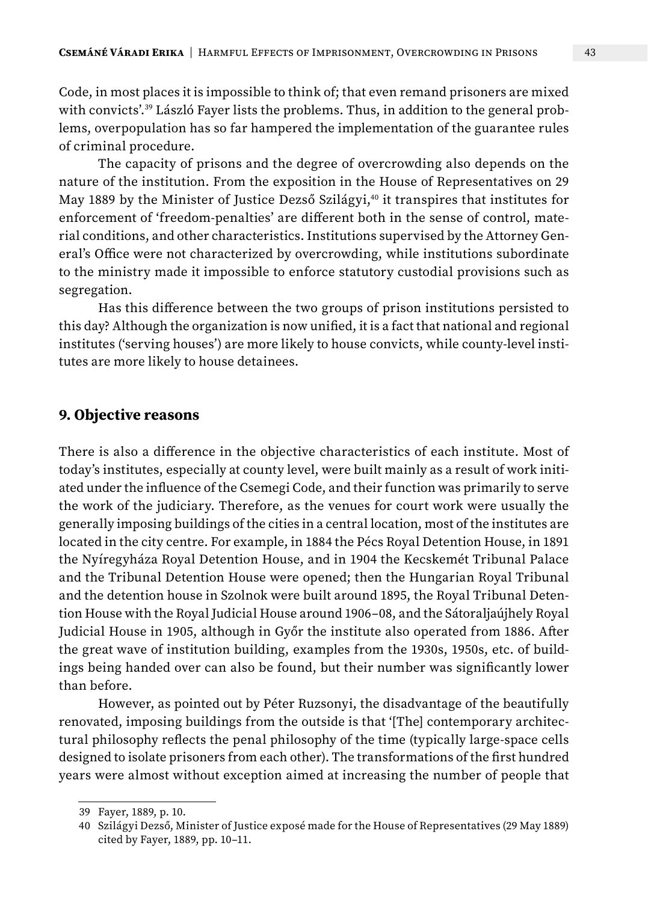Code, in most places it is impossible to think of; that even remand prisoners are mixed with convicts'.<sup>39</sup> László Fayer lists the problems. Thus, in addition to the general problems, overpopulation has so far hampered the implementation of the guarantee rules of criminal procedure.

The capacity of prisons and the degree of overcrowding also depends on the nature of the institution. From the exposition in the House of Representatives on 29 May 1889 by the Minister of Justice Dezső Szilágyi,<sup>40</sup> it transpires that institutes for enforcement of 'freedom-penalties' are different both in the sense of control, material conditions, and other characteristics. Institutions supervised by the Attorney General's Office were not characterized by overcrowding, while institutions subordinate to the ministry made it impossible to enforce statutory custodial provisions such as segregation.

Has this difference between the two groups of prison institutions persisted to this day? Although the organization is now unified, it is a fact that national and regional institutes ('serving houses') are more likely to house convicts, while county-level institutes are more likely to house detainees.

#### **9. Objective reasons**

There is also a difference in the objective characteristics of each institute. Most of today's institutes, especially at county level, were built mainly as a result of work initiated under the influence of the Csemegi Code, and their function was primarily to serve the work of the judiciary. Therefore, as the venues for court work were usually the generally imposing buildings of the cities in a central location, most of the institutes are located in the city centre. For example, in 1884 the Pécs Royal Detention House, in 1891 the Nyíregyháza Royal Detention House, and in 1904 the Kecskemét Tribunal Palace and the Tribunal Detention House were opened; then the Hungarian Royal Tribunal and the detention house in Szolnok were built around 1895, the Royal Tribunal Detention House with the Royal Judicial House around 1906–08, and the Sátoraljaújhely Royal Judicial House in 1905, although in Győr the institute also operated from 1886. After the great wave of institution building, examples from the 1930s, 1950s, etc. of buildings being handed over can also be found, but their number was significantly lower than before.

However, as pointed out by Péter Ruzsonyi, the disadvantage of the beautifully renovated, imposing buildings from the outside is that '[The] contemporary architectural philosophy reflects the penal philosophy of the time (typically large-space cells designed to isolate prisoners from each other). The transformations of the first hundred years were almost without exception aimed at increasing the number of people that

<sup>39</sup> Fayer, 1889, p. 10.

<sup>40</sup> Szilágyi Dezső, Minister of Justice exposé made for the House of Representatives (29 May 1889) cited by Fayer, 1889, pp. 10–11.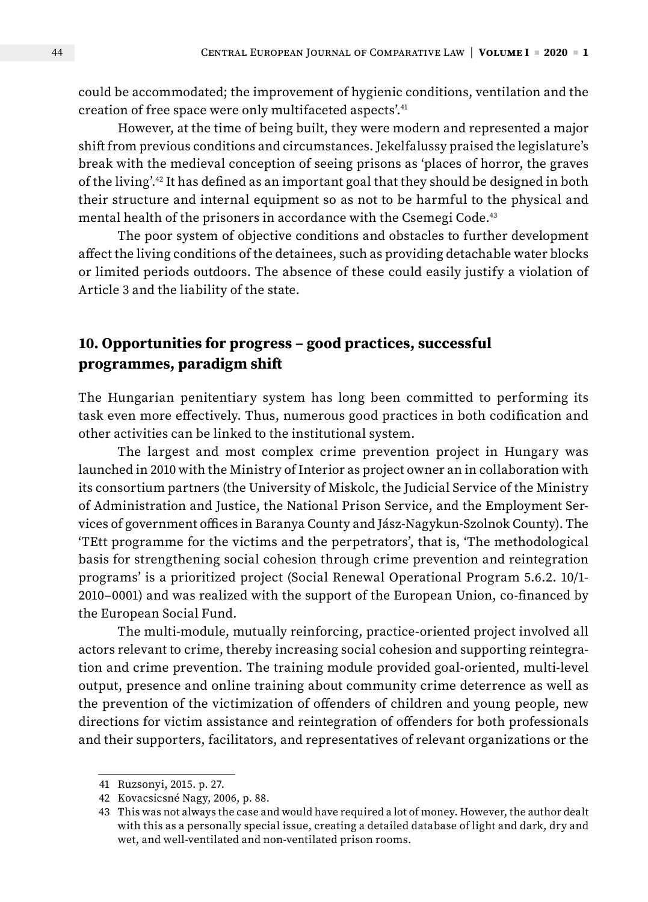could be accommodated; the improvement of hygienic conditions, ventilation and the creation of free space were only multifaceted aspects'.<sup>41</sup>

However, at the time of being built, they were modern and represented a major shift from previous conditions and circumstances. Jekelfalussy praised the legislature's break with the medieval conception of seeing prisons as 'places of horror, the graves of the living'.42 It has defined as an important goal that they should be designed in both their structure and internal equipment so as not to be harmful to the physical and mental health of the prisoners in accordance with the Csemegi Code.<sup>43</sup>

The poor system of objective conditions and obstacles to further development affect the living conditions of the detainees, such as providing detachable water blocks or limited periods outdoors. The absence of these could easily justify a violation of Article 3 and the liability of the state.

### **10. Opportunities for progress – good practices, successful programmes, paradigm shift**

The Hungarian penitentiary system has long been committed to performing its task even more effectively. Thus, numerous good practices in both codification and other activities can be linked to the institutional system.

The largest and most complex crime prevention project in Hungary was launched in 2010 with the Ministry of Interior as project owner an in collaboration with its consortium partners (the University of Miskolc, the Judicial Service of the Ministry of Administration and Justice, the National Prison Service, and the Employment Services of government offices in Baranya County and Jász-Nagykun-Szolnok County). The 'TEtt programme for the victims and the perpetrators', that is, 'The methodological basis for strengthening social cohesion through crime prevention and reintegration programs' is a prioritized project (Social Renewal Operational Program 5.6.2. 10/1- 2010–0001) and was realized with the support of the European Union, co-financed by the European Social Fund.

The multi-module, mutually reinforcing, practice-oriented project involved all actors relevant to crime, thereby increasing social cohesion and supporting reintegration and crime prevention. The training module provided goal-oriented, multi-level output, presence and online training about community crime deterrence as well as the prevention of the victimization of offenders of children and young people, new directions for victim assistance and reintegration of offenders for both professionals and their supporters, facilitators, and representatives of relevant organizations or the

<sup>41</sup> Ruzsonyi, 2015. p. 27.

<sup>42</sup> Kovacsicsné Nagy, 2006, p. 88.

<sup>43</sup> This was not always the case and would have required a lot of money. However, the author dealt with this as a personally special issue, creating a detailed database of light and dark, dry and wet, and well-ventilated and non-ventilated prison rooms.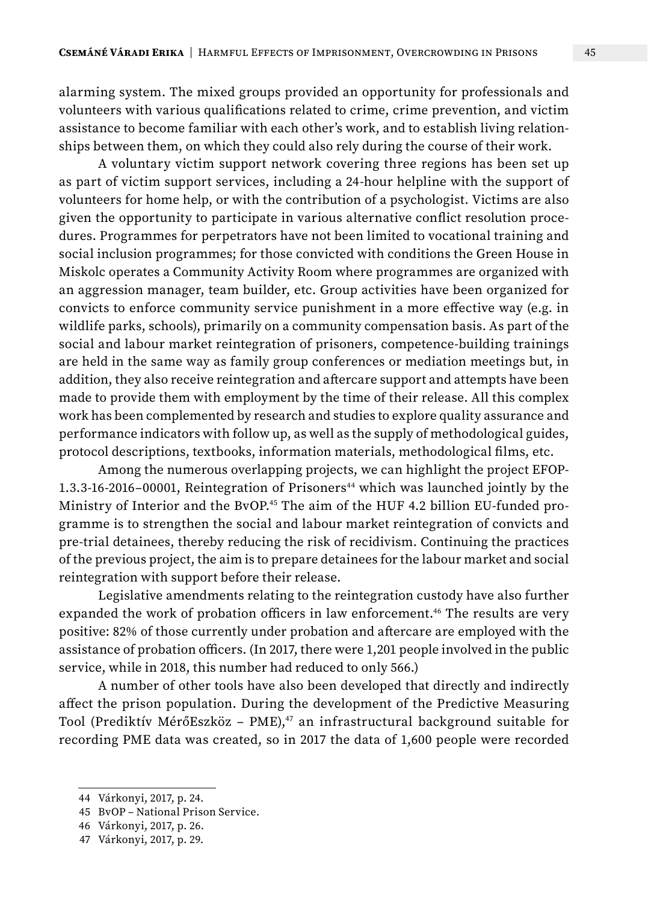alarming system. The mixed groups provided an opportunity for professionals and volunteers with various qualifications related to crime, crime prevention, and victim assistance to become familiar with each other's work, and to establish living relationships between them, on which they could also rely during the course of their work.

A voluntary victim support network covering three regions has been set up as part of victim support services, including a 24-hour helpline with the support of volunteers for home help, or with the contribution of a psychologist. Victims are also given the opportunity to participate in various alternative conflict resolution procedures. Programmes for perpetrators have not been limited to vocational training and social inclusion programmes; for those convicted with conditions the Green House in Miskolc operates a Community Activity Room where programmes are organized with an aggression manager, team builder, etc. Group activities have been organized for convicts to enforce community service punishment in a more effective way (e.g. in wildlife parks, schools), primarily on a community compensation basis. As part of the social and labour market reintegration of prisoners, competence-building trainings are held in the same way as family group conferences or mediation meetings but, in addition, they also receive reintegration and aftercare support and attempts have been made to provide them with employment by the time of their release. All this complex work has been complemented by research and studies to explore quality assurance and performance indicators with follow up, as well as the supply of methodological guides, protocol descriptions, textbooks, information materials, methodological films, etc.

Among the numerous overlapping projects, we can highlight the project EFOP-1.3.3-16-2016-00001, Reintegration of Prisoners<sup>44</sup> which was launched jointly by the Ministry of Interior and the BvOP.45 The aim of the HUF 4.2 billion EU-funded programme is to strengthen the social and labour market reintegration of convicts and pre-trial detainees, thereby reducing the risk of recidivism. Continuing the practices of the previous project, the aim is to prepare detainees for the labour market and social reintegration with support before their release.

Legislative amendments relating to the reintegration custody have also further expanded the work of probation officers in law enforcement.<sup>46</sup> The results are very positive: 82% of those currently under probation and aftercare are employed with the assistance of probation officers. (In 2017, there were 1,201 people involved in the public service, while in 2018, this number had reduced to only 566.)

A number of other tools have also been developed that directly and indirectly affect the prison population. During the development of the Predictive Measuring Tool (Prediktív MérőEszköz – PME), $47$  an infrastructural background suitable for recording PME data was created, so in 2017 the data of 1,600 people were recorded

<sup>44</sup> Várkonyi, 2017, p. 24.

<sup>45</sup> BvOP – National Prison Service.

<sup>46</sup> Várkonyi, 2017, p. 26.

<sup>47</sup> Várkonyi, 2017, p. 29.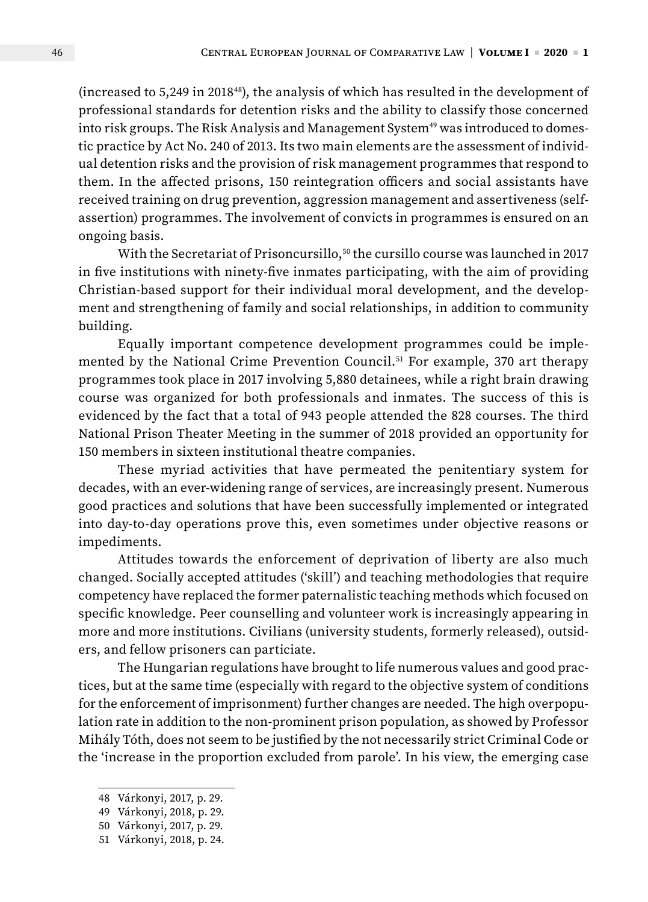(increased to 5,249 in 201848), the analysis of which has resulted in the development of professional standards for detention risks and the ability to classify those concerned into risk groups. The Risk Analysis and Management System<sup>49</sup> was introduced to domestic practice by Act No. 240 of 2013. Its two main elements are the assessment of individual detention risks and the provision of risk management programmes that respond to them. In the affected prisons, 150 reintegration officers and social assistants have received training on drug prevention, aggression management and assertiveness (selfassertion) programmes. The involvement of convicts in programmes is ensured on an ongoing basis.

With the Secretariat of Prisoncursillo,<sup>50</sup> the cursillo course was launched in 2017 in five institutions with ninety-five inmates participating, with the aim of providing Christian-based support for their individual moral development, and the development and strengthening of family and social relationships, in addition to community building.

Equally important competence development programmes could be implemented by the National Crime Prevention Council.<sup>51</sup> For example, 370 art therapy programmes took place in 2017 involving 5,880 detainees, while a right brain drawing course was organized for both professionals and inmates. The success of this is evidenced by the fact that a total of 943 people attended the 828 courses. The third National Prison Theater Meeting in the summer of 2018 provided an opportunity for 150 members in sixteen institutional theatre companies.

These myriad activities that have permeated the penitentiary system for decades, with an ever-widening range of services, are increasingly present. Numerous good practices and solutions that have been successfully implemented or integrated into day-to-day operations prove this, even sometimes under objective reasons or impediments.

Attitudes towards the enforcement of deprivation of liberty are also much changed. Socially accepted attitudes ('skill') and teaching methodologies that require competency have replaced the former paternalistic teaching methods which focused on specific knowledge. Peer counselling and volunteer work is increasingly appearing in more and more institutions. Civilians (university students, formerly released), outsiders, and fellow prisoners can particiate.

The Hungarian regulations have brought to life numerous values and good practices, but at the same time (especially with regard to the objective system of conditions for the enforcement of imprisonment) further changes are needed. The high overpopulation rate in addition to the non-prominent prison population, as showed by Professor Mihály Tóth, does not seem to be justified by the not necessarily strict Criminal Code or the 'increase in the proportion excluded from parole'. In his view, the emerging case

<sup>48</sup> Várkonyi, 2017, p. 29.

<sup>49</sup> Várkonyi, 2018, p. 29.

<sup>50</sup> Várkonyi, 2017, p. 29.

<sup>51</sup> Várkonyi, 2018, p. 24.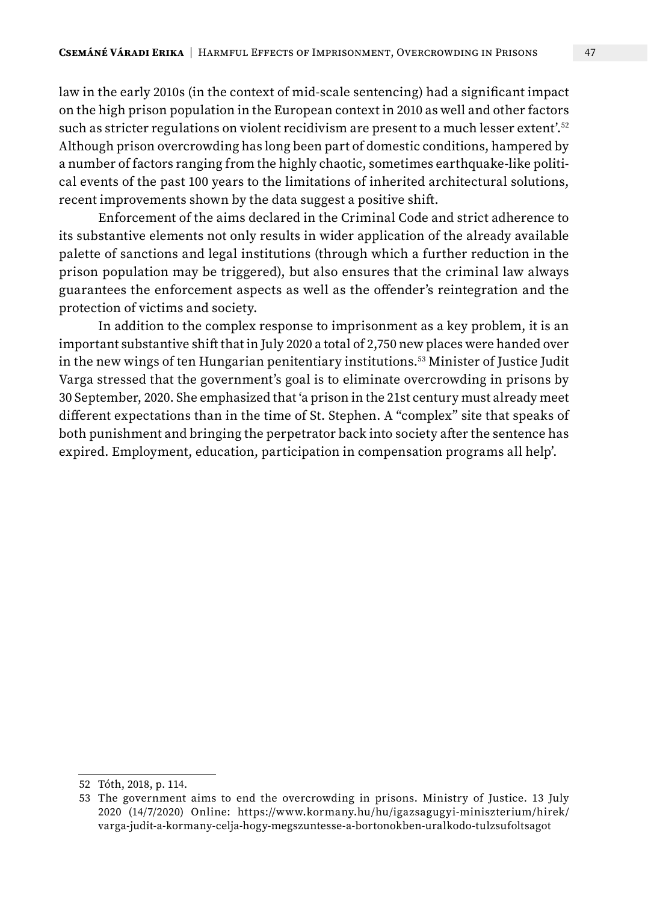law in the early 2010s (in the context of mid-scale sentencing) had a significant impact on the high prison population in the European context in 2010 as well and other factors such as stricter regulations on violent recidivism are present to a much lesser extent'.52 Although prison overcrowding has long been part of domestic conditions, hampered by a number of factors ranging from the highly chaotic, sometimes earthquake-like political events of the past 100 years to the limitations of inherited architectural solutions, recent improvements shown by the data suggest a positive shift.

Enforcement of the aims declared in the Criminal Code and strict adherence to its substantive elements not only results in wider application of the already available palette of sanctions and legal institutions (through which a further reduction in the prison population may be triggered), but also ensures that the criminal law always guarantees the enforcement aspects as well as the offender's reintegration and the protection of victims and society.

In addition to the complex response to imprisonment as a key problem, it is an important substantive shift that in July 2020 a total of 2,750 new places were handed over in the new wings of ten Hungarian penitentiary institutions.53 Minister of Justice Judit Varga stressed that the government's goal is to eliminate overcrowding in prisons by 30 September, 2020. She emphasized that 'a prison in the 21st century must already meet different expectations than in the time of St. Stephen. A "complex" site that speaks of both punishment and bringing the perpetrator back into society after the sentence has expired. Employment, education, participation in compensation programs all help'.

<sup>52</sup> Tóth, 2018, p. 114.

<sup>53</sup> The government aims to end the overcrowding in prisons. Ministry of Justice. 13 July 2020 (14/7/2020) Online: https://www.kormany.hu/hu/igazsagugyi-miniszterium/hirek/ varga-judit-a-kormany-celja-hogy-megszuntesse-a-bortonokben-uralkodo-tulzsufoltsagot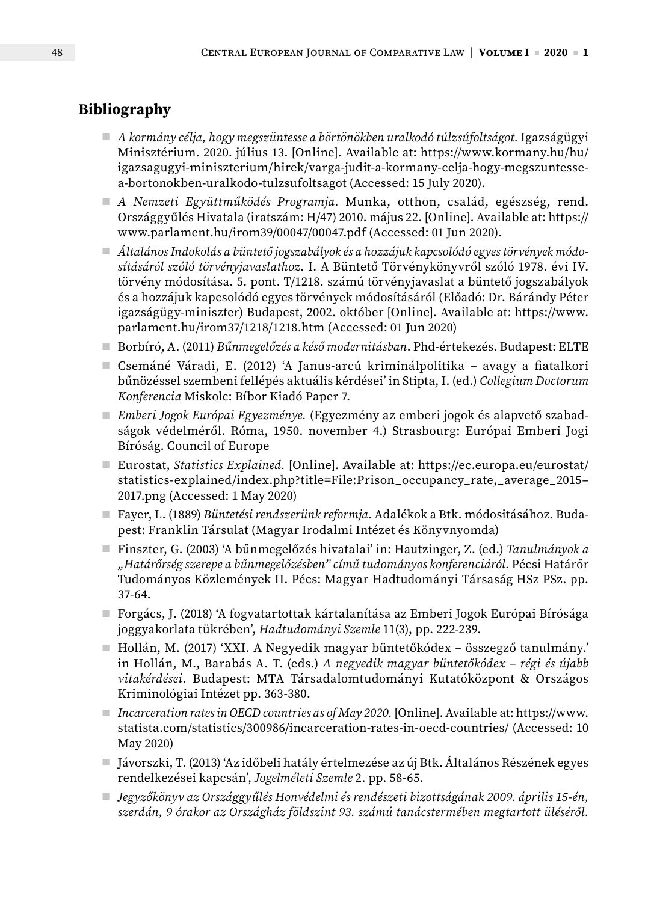## **Bibliography**

- *A kormány célja, hogy megszüntesse a börtönökben uralkodó túlzsúfoltságot.* Igazságügyi Minisztérium. 2020. július 13. [Online]. Available at: https://www.kormany.hu/hu/ igazsagugyi-miniszterium/hirek/varga-judit-a-kormany-celja-hogy-megszuntessea-bortonokben-uralkodo-tulzsufoltsagot (Accessed: 15 July 2020).
- *A Nemzeti Együttműködés Programja.* Munka, otthon, család, egészség, rend. Országgyűlés Hivatala (iratszám: H/47) 2010. május 22. [Online]. Available at: https:// www.parlament.hu/irom39/00047/00047.pdf (Accessed: 01 Jun 2020).
- *Általános Indokolás a büntető jogszabályok és a hozzájuk kapcsolódó egyes törvények módosításáról szóló törvényjavaslathoz.* I. A Büntető Törvénykönyvről szóló 1978. évi IV. törvény módosítása. 5. pont. T/1218. számú törvényjavaslat a büntető jogszabályok és a hozzájuk kapcsolódó egyes törvények módosításáról (Előadó: Dr. Bárándy Péter igazságügy-miniszter) Budapest, 2002. október [Online]. Available at: https://www. parlament.hu/irom37/1218/1218.htm (Accessed: 01 Jun 2020)
- Borbíró, A. (2011) *Bűnmegelőzés a késő modernitásban*. Phd-értekezés. Budapest: ELTE
- Csemáné Váradi, E. (2012) 'A Janus-arcú kriminálpolitika avagy a fiatalkori bűnözéssel szembeni fellépés aktuális kérdései' in Stipta, I. (ed.) *Collegium Doctorum Konferencia* Miskolc: Bíbor Kiadó Paper 7.
- *Emberi Jogok Európai Egyezménye.* (Egyezmény az emberi jogok és alapvető szabadságok védelméről. Róma, 1950. november 4.) Strasbourg: Európai Emberi Jogi Bíróság. Council of Europe
- Eurostat, *Statistics Explained*. [Online]. Available at: https://ec.europa.eu/eurostat/ statistics-explained/index.php?title=File:Prison\_occupancy\_rate,\_average\_2015– 2017.png (Accessed: 1 May 2020)
- Fayer, L. (1889) *Büntetési rendszerünk reformja.* Adalékok a Btk. módositásához. Budapest: Franklin Társulat (Magyar Irodalmi Intézet és Könyvnyomda)
- Finszter, G. (2003) 'A bűnmegelőzés hivatalai' in: Hautzinger, Z. (ed.) *Tanulmányok a "Határőrség szerepe a bűnmegelőzésben" című tudományos konferenciáról.* Pécsi Határőr Tudományos Közlemények II. Pécs: Magyar Hadtudományi Társaság HSz PSz. pp. 37-64.
- Forgács, J. (2018) 'A fogvatartottak kártalanítása az Emberi Jogok Európai Bírósága joggyakorlata tükrében', *Hadtudományi Szemle* 11(3), pp. 222-239.
- Hollán, M. (2017) 'XXI. A Negyedik magyar büntetőkódex összegző tanulmány.' in Hollán, M., Barabás A. T. (eds.) *A negyedik magyar büntetőkódex – régi és újabb vitakérdései.* Budapest: MTA Társadalomtudományi Kutatóközpont & Országos Kriminológiai Intézet pp. 363-380.
- *Incarceration rates in OECD countries as of May 2020.* [Online]. Available at: https://www. statista.com/statistics/300986/incarceration-rates-in-oecd-countries/ (Accessed: 10 May 2020)
- Jávorszki, T. (2013) 'Az időbeli hatály értelmezése az új Btk. Általános Részének egyes rendelkezései kapcsán', *Jogelméleti Szemle* 2. pp. 58-65.
- *Jegyzőkönyv az Országgyűlés Honvédelmi és rendészeti bizottságának 2009. április 15-én, szerdán, 9 órakor az Országház földszint 93. számú tanácstermében megtartott üléséről.*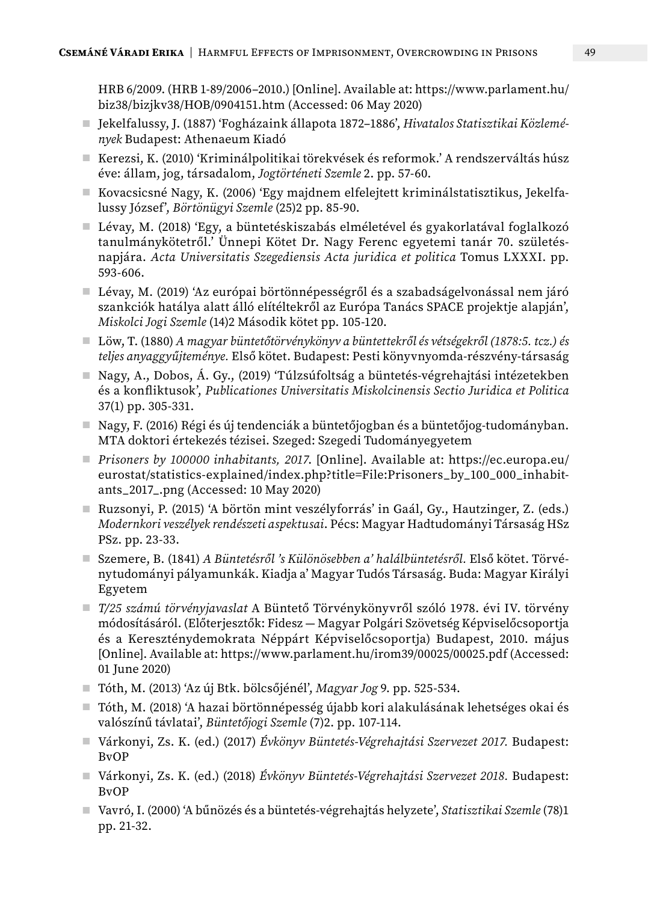HRB 6/2009. (HRB 1-89/2006–2010.) [Online]. Available at: https://www.parlament.hu/ biz38/bizjkv38/HOB/0904151.htm (Accessed: 06 May 2020)

- Jekelfalussy, J. (1887) 'Fogházaink állapota 1872–1886', *Hivatalos Statisztikai Közlemények* Budapest: Athenaeum Kiadó
- Kerezsi, K. (2010) 'Kriminálpolitikai törekvések és reformok.' A rendszerváltás húsz éve: állam, jog, társadalom, *Jogtörténeti Szemle* 2. pp. 57-60.
- Kovacsicsné Nagy, K. (2006) 'Egy majdnem elfelejtett kriminálstatisztikus, Jekelfalussy József', *Börtönügyi Szemle* (25)2 pp. 85-90.
- Lévay, M. (2018) 'Egy, a büntetéskiszabás elméletével és gyakorlatával foglalkozó tanulmánykötetről.' Ünnepi Kötet Dr. Nagy Ferenc egyetemi tanár 70. születésnapjára. *Acta Universitatis Szegediensis Acta juridica et politica* Tomus LXXXI. pp. 593-606.
- Lévay, M. (2019) 'Az európai börtönnépességről és a szabadságelvonással nem járó szankciók hatálya alatt álló elítéltekről az Európa Tanács SPACE projektje alapján', *Miskolci Jogi Szemle* (14)2 Második kötet pp. 105-120.
- Löw, T. (1880) *A magyar büntetőtörvénykönyv a büntettekről és vétségekről (1878:5. tcz.) és teljes anyaggyűjteménye.* Első kötet. Budapest: Pesti könyvnyomda-részvény-társaság
- Nagy, A., Dobos, Á. Gy., (2019) 'Túlzsúfoltság a büntetés-végrehajtási intézetekben és a konfliktusok', *Publicationes Universitatis Miskolcinensis Sectio Juridica et Politica* 37(1) pp. 305-331.
- Nagy, F. (2016) Régi és új tendenciák a büntetőjogban és a büntetőjog-tudományban. MTA doktori értekezés tézisei. Szeged: Szegedi Tudományegyetem
- *Prisoners by 100000 inhabitants, 2017*. [Online]. Available at: https://ec.europa.eu/ eurostat/statistics-explained/index.php?title=File:Prisoners\_by\_100\_000\_inhabitants\_2017\_.png (Accessed: 10 May 2020)
- Ruzsonyi, P. (2015) 'A börtön mint veszélyforrás' in Gaál, Gy., Hautzinger, Z. (eds.) *Modernkori veszélyek rendészeti aspektusai*. Pécs: Magyar Hadtudományi Társaság HSz PSz. pp. 23-33.
- Szemere, B. (1841) *A Büntetésről 's Különösebben a' halálbüntetésről.* Első kötet. Törvénytudományi pályamunkák. Kiadja a' Magyar Tudós Társaság. Buda: Magyar Királyi Egyetem
- *T/25 számú törvényjavaslat* A Büntető Törvénykönyvről szóló 1978. évi IV. törvény módosításáról. (Előterjesztők: Fidesz — Magyar Polgári Szövetség Képviselőcsoportja és a Kereszténydemokrata Néppárt Képviselőcsoportja) Budapest, 2010. május [Online]. Available at: https://www.parlament.hu/irom39/00025/00025.pdf (Accessed: 01 June 2020)
- Tóth, M. (2013) 'Az új Btk. bölcsőjénél', *Magyar Jog* 9. pp. 525-534.
- Tóth, M. (2018) 'A hazai börtönnépesség újabb kori alakulásának lehetséges okai és valószínű távlatai', *Büntetőjogi Szemle* (7)2. pp. 107-114.
- Várkonyi, Zs. K. (ed.) (2017) *Évkönyv Büntetés-Végrehajtási Szervezet 2017.* Budapest: BvOP
- Várkonyi, Zs. K. (ed.) (2018) *Évkönyv Büntetés-Végrehajtási Szervezet 2018.* Budapest: BvOP
- Vavró, I. (2000) 'A bűnözés és a büntetés-végrehajtás helyzete', *Statisztikai Szemle* (78)1 pp. 21-32.